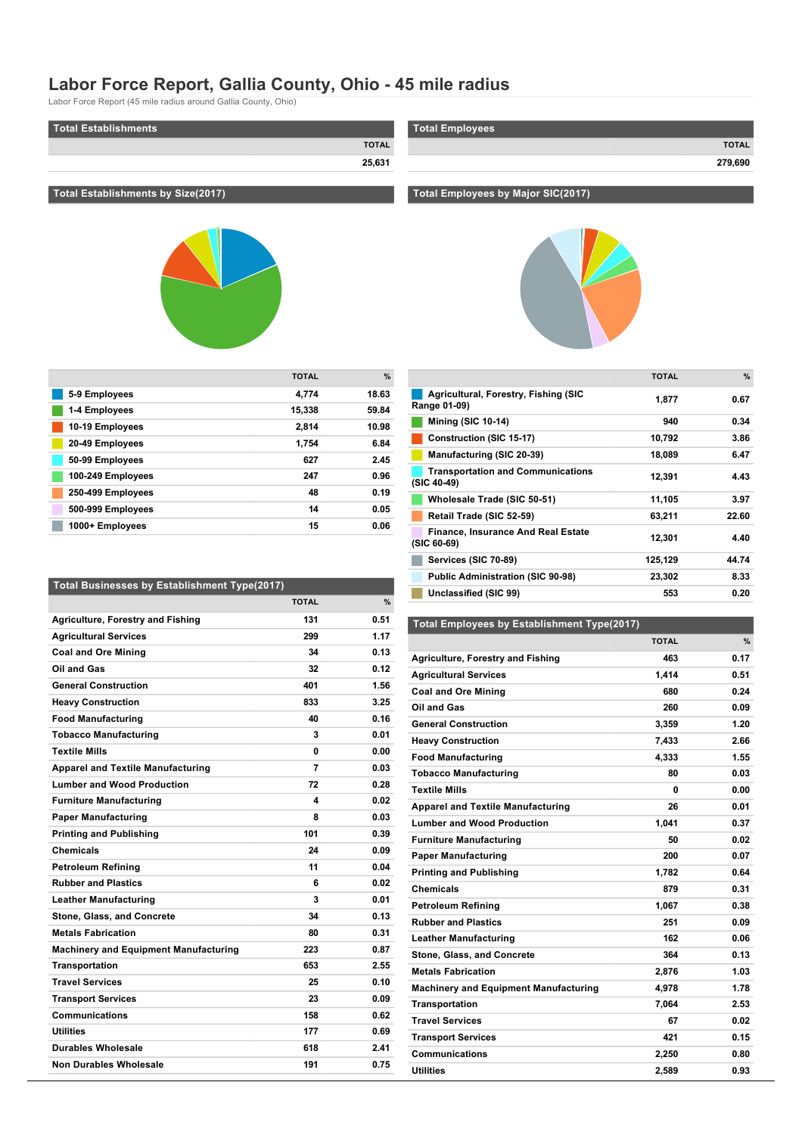## **Labor Force Report, Gallia County, Ohio 45 mile radius**

Labor Force Report (45 mile radius around Gallia County, Ohio)

| Total Establishments | <b>Total Employees</b> |
|----------------------|------------------------|
| <b>TOTAL</b>         | <b>TOTAL</b>           |
| 25,631               | 279,690                |
|                      |                        |

## **Total Establishments by Size(2017)**



|                   | <b>TOTAL</b> | $\frac{9}{6}$ |
|-------------------|--------------|---------------|
| 5-9 Employees     | 4.774        | 18.63         |
| 1-4 Employees     | 15,338       | 59.84         |
| 10-19 Employees   | 2.814        | 10.98         |
| 20-49 Employees   | 1.754        | 6.84          |
| 50-99 Employees   | 627          | 2.45          |
| 100-249 Employees | 247          | 0.96          |
| 250-499 Employees | 48           | 0.19          |
| 500-999 Employees | 14           | 0.05          |
| 1000+ Employees   | 15           | 0.06          |

| <b>Total Businesses by Establishment Type(2017)</b> |              |      |
|-----------------------------------------------------|--------------|------|
|                                                     | <b>TOTAL</b> | %    |
| <b>Agriculture, Forestry and Fishing</b>            | 131          | 0.51 |
| <b>Agricultural Services</b>                        | 299          | 1.17 |
| <b>Coal and Ore Mining</b>                          | 34           | 0.13 |
| Oil and Gas                                         | 32           | 0.12 |
| <b>General Construction</b>                         | 401          | 1.56 |
| <b>Heavy Construction</b>                           | 833          | 3.25 |
| <b>Food Manufacturing</b>                           | 40           | 0.16 |
| <b>Tobacco Manufacturing</b>                        | 3            | 0.01 |
| <b>Textile Mills</b>                                | 0            | 0.00 |
| <b>Apparel and Textile Manufacturing</b>            | 7            | 0.03 |
| <b>Lumber and Wood Production</b>                   | 72           | 0.28 |
| <b>Furniture Manufacturing</b>                      | 4            | 0.02 |
| <b>Paper Manufacturing</b>                          | 8            | 0.03 |
| <b>Printing and Publishing</b>                      | 101          | 0.39 |
| <b>Chemicals</b>                                    | 24           | 0.09 |
| <b>Petroleum Refining</b>                           | 11           | 0.04 |
| <b>Rubber and Plastics</b>                          | 6            | 0.02 |
| <b>Leather Manufacturing</b>                        | 3            | 0.01 |
| Stone, Glass, and Concrete                          | 34           | 0.13 |
| <b>Metals Fabrication</b>                           | 80           | 0.31 |
| <b>Machinery and Equipment Manufacturing</b>        | 223          | 0.87 |
| <b>Transportation</b>                               | 653          | 2.55 |
| <b>Travel Services</b>                              | 25           | 0.10 |
| <b>Transport Services</b>                           | 23           | 0.09 |
| <b>Communications</b>                               | 158          | 0.62 |
| <b>Utilities</b>                                    | 177          | 0.69 |
| Durables Wholesale                                  | 618          | 2.41 |
| <b>Non Durables Wholesale</b>                       | 191          | 0.75 |

# **Total Employees by Major SIC(2017)**



|                                                          | <b>TOTAL</b> | $\%$  |
|----------------------------------------------------------|--------------|-------|
| Agricultural, Forestry, Fishing (SIC<br>Range 01-09)     | 1,877        | 0.67  |
| <b>Mining (SIC 10-14)</b>                                | 940          | 0.34  |
| Construction (SIC 15-17)                                 | 10,792       | 3.86  |
| Manufacturing (SIC 20-39)                                | 18,089       | 6.47  |
| <b>Transportation and Communications</b><br>(SIC 40-49)  | 12,391       | 4.43  |
| Wholesale Trade (SIC 50-51)                              | 11,105       | 3.97  |
| Retail Trade (SIC 52-59)                                 | 63,211       | 22.60 |
| <b>Finance, Insurance And Real Estate</b><br>(SIC 60-69) | 12,301       | 4.40  |
| Services (SIC 70-89)                                     | 125,129      | 44.74 |
| <b>Public Administration (SIC 90-98)</b>                 | 23,302       | 8.33  |
| Unclassified (SIC 99)                                    | 553          | 0.20  |

#### **Total Employees by Establishment Type(2017)**

|                                              | <b>TOTAL</b> | $\%$ |
|----------------------------------------------|--------------|------|
| <b>Agriculture, Forestry and Fishing</b>     | 463          | 0.17 |
| <b>Agricultural Services</b>                 | 1.414        | 0.51 |
| <b>Coal and Ore Mining</b>                   | 680          | 0.24 |
| Oil and Gas                                  | 260          | 0.09 |
| <b>General Construction</b>                  | 3.359        | 1.20 |
| <b>Heavy Construction</b>                    | 7,433        | 2.66 |
| <b>Food Manufacturing</b>                    | 4,333        | 1.55 |
| <b>Tobacco Manufacturing</b>                 | 80           | 0.03 |
| <b>Textile Mills</b>                         | 0            | 0.00 |
| <b>Apparel and Textile Manufacturing</b>     | 26           | 0.01 |
| <b>Lumber and Wood Production</b>            | 1,041        | 0.37 |
| <b>Furniture Manufacturing</b>               | 50           | 0.02 |
| <b>Paper Manufacturing</b>                   | 200          | 0.07 |
| <b>Printing and Publishing</b>               | 1,782        | 0.64 |
| <b>Chemicals</b>                             | 879          | 0.31 |
| <b>Petroleum Refining</b>                    | 1,067        | 0.38 |
| <b>Rubber and Plastics</b>                   | 251          | 0.09 |
| <b>Leather Manufacturing</b>                 | 162          | 0.06 |
| Stone, Glass, and Concrete                   | 364          | 0.13 |
| <b>Metals Fabrication</b>                    | 2,876        | 1.03 |
| <b>Machinery and Equipment Manufacturing</b> | 4,978        | 1.78 |
| <b>Transportation</b>                        | 7,064        | 2.53 |
| <b>Travel Services</b>                       | 67           | 0.02 |
| <b>Transport Services</b>                    | 421          | 0.15 |
| Communications                               | 2,250        | 0.80 |
| <b>Utilities</b>                             | 2,589        | 0.93 |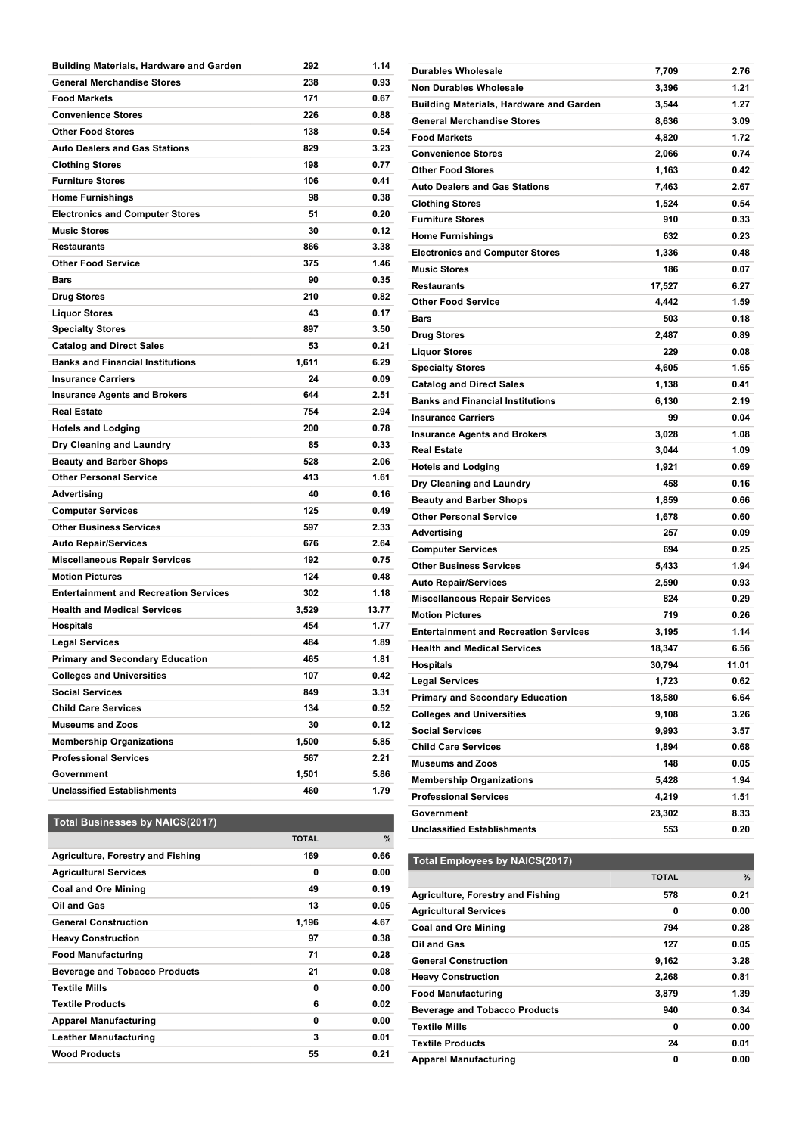| Building Materials, Hardware and Garden      | 292   | 1.14  |
|----------------------------------------------|-------|-------|
| <b>General Merchandise Stores</b>            | 238   | 0.93  |
| <b>Food Markets</b>                          | 171   | 0.67  |
| <b>Convenience Stores</b>                    | 226   | 0.88  |
| <b>Other Food Stores</b>                     | 138   | 0.54  |
| <b>Auto Dealers and Gas Stations</b>         | 829   | 3.23  |
| <b>Clothing Stores</b>                       | 198   | 0.77  |
| <b>Furniture Stores</b>                      | 106   | 0.41  |
| <b>Home Furnishings</b>                      | 98    | 0.38  |
| <b>Electronics and Computer Stores</b>       | 51    | 0.20  |
| <b>Music Stores</b>                          | 30    | 0.12  |
| <b>Restaurants</b>                           | 866   | 3.38  |
| <b>Other Food Service</b>                    | 375   | 1.46  |
| Bars                                         | 90    | 0.35  |
| <b>Drug Stores</b>                           | 210   | 0.82  |
| <b>Liquor Stores</b>                         | 43    | 0.17  |
| <b>Specialty Stores</b>                      | 897   | 3.50  |
| <b>Catalog and Direct Sales</b>              | 53    | 0.21  |
| <b>Banks and Financial Institutions</b>      | 1,611 | 6.29  |
| <b>Insurance Carriers</b>                    | 24    | 0.09  |
| <b>Insurance Agents and Brokers</b>          | 644   | 2.51  |
| <b>Real Estate</b>                           | 754   | 2.94  |
| <b>Hotels and Lodging</b>                    | 200   | 0.78  |
| Dry Cleaning and Laundry                     | 85    | 0.33  |
| <b>Beauty and Barber Shops</b>               | 528   | 2.06  |
| <b>Other Personal Service</b>                | 413   | 1.61  |
| Advertising                                  | 40    | 0.16  |
| <b>Computer Services</b>                     | 125   | 0.49  |
| <b>Other Business Services</b>               | 597   | 2.33  |
| <b>Auto Repair/Services</b>                  | 676   | 2.64  |
| <b>Miscellaneous Repair Services</b>         | 192   | 0.75  |
| <b>Motion Pictures</b>                       | 124   | 0.48  |
| <b>Entertainment and Recreation Services</b> | 302   | 1.18  |
| <b>Health and Medical Services</b>           | 3,529 | 13.77 |
| <b>Hospitals</b>                             | 454   | 1.77  |
| <b>Legal Services</b>                        | 484   | 1.89  |
| <b>Primary and Secondary Education</b>       | 465   | 1.81  |
| <b>Colleges and Universities</b>             | 107   | 0.42  |
| <b>Social Services</b>                       | 849   | 3.31  |
| <b>Child Care Services</b>                   | 134   | 0.52  |
| <b>Museums and Zoos</b>                      | 30    | 0.12  |
| <b>Membership Organizations</b>              | 1,500 | 5.85  |
| <b>Professional Services</b>                 | 567   | 2.21  |
| Government                                   | 1,501 | 5.86  |
| <b>Unclassified Establishments</b>           | 460   | 1.79  |
|                                              |       |       |

| <b>Building Materials, Hardware and Garden</b> | 3,544  | 1.27  |
|------------------------------------------------|--------|-------|
| <b>General Merchandise Stores</b>              | 8,636  | 3.09  |
| <b>Food Markets</b>                            | 4,820  | 1.72  |
| <b>Convenience Stores</b>                      | 2,066  | 0.74  |
| <b>Other Food Stores</b>                       | 1,163  | 0.42  |
| <b>Auto Dealers and Gas Stations</b>           | 7,463  | 2.67  |
| <b>Clothing Stores</b>                         | 1,524  | 0.54  |
| <b>Furniture Stores</b>                        | 910    | 0.33  |
| <b>Home Furnishings</b>                        | 632    | 0.23  |
| <b>Electronics and Computer Stores</b>         | 1,336  | 0.48  |
| <b>Music Stores</b>                            | 186    | 0.07  |
| <b>Restaurants</b>                             | 17,527 | 6.27  |
| <b>Other Food Service</b>                      | 4,442  | 1.59  |
| <b>Bars</b>                                    | 503    | 0.18  |
| <b>Drug Stores</b>                             | 2,487  | 0.89  |
| <b>Liquor Stores</b>                           | 229    | 0.08  |
| <b>Specialty Stores</b>                        | 4,605  | 1.65  |
| <b>Catalog and Direct Sales</b>                | 1,138  | 0.41  |
| <b>Banks and Financial Institutions</b>        | 6,130  | 2.19  |
| <b>Insurance Carriers</b>                      | 99     | 0.04  |
| <b>Insurance Agents and Brokers</b>            | 3,028  | 1.08  |
| <b>Real Estate</b>                             | 3,044  | 1.09  |
| <b>Hotels and Lodging</b>                      | 1,921  | 0.69  |
| Dry Cleaning and Laundry                       | 458    | 0.16  |
| <b>Beauty and Barber Shops</b>                 | 1,859  | 0.66  |
| <b>Other Personal Service</b>                  | 1,678  | 0.60  |
| Advertising                                    | 257    | 0.09  |
| <b>Computer Services</b>                       | 694    | 0.25  |
| <b>Other Business Services</b>                 | 5,433  | 1.94  |
| <b>Auto Repair/Services</b>                    | 2,590  | 0.93  |
| <b>Miscellaneous Repair Services</b>           | 824    | 0.29  |
| <b>Motion Pictures</b>                         | 719    | 0.26  |
| <b>Entertainment and Recreation Services</b>   | 3,195  | 1.14  |
| <b>Health and Medical Services</b>             | 18,347 | 6.56  |
| <b>Hospitals</b>                               | 30,794 | 11.01 |
| <b>Legal Services</b>                          | 1,723  | 0.62  |
| <b>Primary and Secondary Education</b>         | 18,580 | 6.64  |
| <b>Colleges and Universities</b>               | 9,108  | 3.26  |
| <b>Social Services</b>                         | 9,993  | 3.57  |
| <b>Child Care Services</b>                     | 1,894  | 0.68  |
| <b>Museums and Zoos</b>                        | 148    | 0.05  |
| <b>Membership Organizations</b>                | 5,428  | 1.94  |
| <b>Professional Services</b>                   | 4,219  | 1.51  |
| Government                                     | 23,302 | 8.33  |
| <b>Unclassified Establishments</b>             | 553    | 0.20  |

**Durables Wholesale 7,709 2.76 Non Durables Wholesale 3,396 1.21**

## **Total Businesses by NAICS(2017)**

|                                          | <b>TOTAL</b> | %    |
|------------------------------------------|--------------|------|
| <b>Agriculture, Forestry and Fishing</b> | 169          | 0.66 |
| <b>Agricultural Services</b>             | 0            | 0.00 |
| <b>Coal and Ore Mining</b>               | 49           | 0.19 |
| Oil and Gas                              | 13           | 0.05 |
| <b>General Construction</b>              | 1,196        | 4.67 |
| <b>Heavy Construction</b>                | 97           | 0.38 |
| <b>Food Manufacturing</b>                | 71           | 0.28 |
| <b>Beverage and Tobacco Products</b>     | 21           | 0.08 |
| <b>Textile Mills</b>                     | 0            | 0.00 |
| <b>Textile Products</b>                  | 6            | 0.02 |
| <b>Apparel Manufacturing</b>             | 0            | 0.00 |
| <b>Leather Manufacturing</b>             | 3            | 0.01 |
| <b>Wood Products</b>                     | 55           | 0.21 |

## **Total Employees by NAICS(2017)**

|                                      | <b>TOTAL</b> | %    |
|--------------------------------------|--------------|------|
| Agriculture, Forestry and Fishing    | 578          | 0.21 |
| <b>Agricultural Services</b>         | 0            | 0.00 |
| <b>Coal and Ore Mining</b>           | 794          | 0.28 |
| Oil and Gas                          | 127          | 0.05 |
| <b>General Construction</b>          | 9,162        | 3.28 |
| <b>Heavy Construction</b>            | 2,268        | 0.81 |
| <b>Food Manufacturing</b>            | 3.879        | 1.39 |
| <b>Beverage and Tobacco Products</b> | 940          | 0.34 |
| <b>Textile Mills</b>                 | 0            | 0.00 |
| <b>Textile Products</b>              | 24           | 0.01 |
| <b>Apparel Manufacturing</b>         | 0            | 0.00 |

**Leather Manufacturing 162 0.06**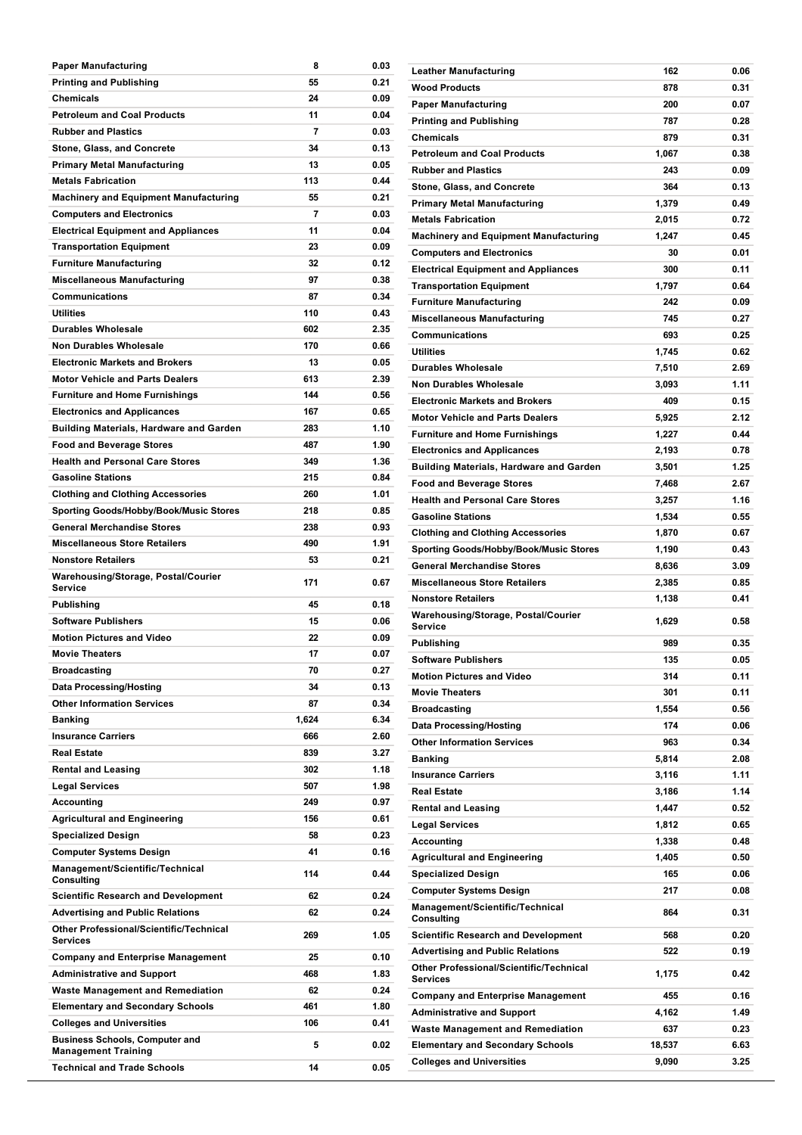| <b>Paper Manufacturing</b>                                                                                | 8         | 0.03         |
|-----------------------------------------------------------------------------------------------------------|-----------|--------------|
| <b>Printing and Publishing</b>                                                                            | 55        | 0.21         |
| Chemicals                                                                                                 | 24        | 0.09         |
| <b>Petroleum and Coal Products</b>                                                                        | 11        | 0.04         |
| <b>Rubber and Plastics</b>                                                                                | 7         | 0.03         |
| Stone, Glass, and Concrete                                                                                | 34        | 0.13         |
| Primary Metal Manufacturing                                                                               | 13        | 0.05         |
| <b>Metals Fabrication</b>                                                                                 | 113       | 0.44         |
| <b>Machinery and Equipment Manufacturing</b>                                                              | 55        | 0.21         |
| <b>Computers and Electronics</b>                                                                          | 7         | 0.03         |
| <b>Electrical Equipment and Appliances</b>                                                                | 11        | 0.04         |
| <b>Transportation Equipment</b>                                                                           | 23        | 0.09         |
| <b>Furniture Manufacturing</b>                                                                            | 32        | 0.12         |
|                                                                                                           | 97        | 0.38         |
| <b>Miscellaneous Manufacturing</b><br><b>Communications</b>                                               | 87        | 0.34         |
|                                                                                                           |           |              |
| <b>Utilities</b>                                                                                          | 110       | 0.43         |
| <b>Durables Wholesale</b>                                                                                 | 602       | 2.35         |
| <b>Non Durables Wholesale</b>                                                                             | 170       | 0.66         |
| <b>Electronic Markets and Brokers</b>                                                                     | 13        | 0.05         |
| <b>Motor Vehicle and Parts Dealers</b>                                                                    | 613       | 2.39         |
| <b>Furniture and Home Furnishings</b>                                                                     | 144       | 0.56         |
| <b>Electronics and Applicances</b>                                                                        | 167       | 0.65         |
| Building Materials, Hardware and Garden                                                                   | 283       | 1.10         |
| <b>Food and Beverage Stores</b>                                                                           | 487       | 1.90         |
| <b>Health and Personal Care Stores</b>                                                                    | 349       | 1.36         |
| <b>Gasoline Stations</b>                                                                                  | 215       | 0.84         |
| <b>Clothing and Clothing Accessories</b>                                                                  | 260       | 1.01         |
| Sporting Goods/Hobby/Book/Music Stores                                                                    | 218       | 0.85         |
| <b>General Merchandise Stores</b>                                                                         | 238       | 0.93         |
| <b>Miscellaneous Store Retailers</b>                                                                      | 490       | 1.91         |
| <b>Nonstore Retailers</b>                                                                                 | 53        | 0.21         |
|                                                                                                           |           |              |
| Warehousing/Storage, Postal/Courier<br>Service                                                            | 171       | 0.67         |
| Publishing                                                                                                | 45        | 0.18         |
| <b>Software Publishers</b>                                                                                | 15        | 0.06         |
| <b>Motion Pictures and Video</b>                                                                          | 22        | 0.09         |
| <b>Movie Theaters</b>                                                                                     | 17        | 0.07         |
| Broadcasting                                                                                              | 70        | 0.27         |
| <b>Data Processing/Hosting</b>                                                                            | 34        | 0.13         |
| <b>Other Information Services</b>                                                                         | 87        | 0.34         |
| Banking                                                                                                   | 1,624     | 6.34         |
| <b>Insurance Carriers</b>                                                                                 | 666       | 2.60         |
| <b>Real Estate</b>                                                                                        | 839       | 3.27         |
| <b>Rental and Leasing</b>                                                                                 | 302       | 1.18         |
| <b>Legal Services</b>                                                                                     | 507       | 1.98         |
|                                                                                                           | 249       | 0.97         |
| Accounting                                                                                                | 156       | 0.61         |
| <b>Agricultural and Engineering</b>                                                                       | 58        | 0.23         |
| <b>Specialized Design</b>                                                                                 | 41        | 0.16         |
| <b>Computer Systems Design</b><br>Management/Scientific/Technical                                         | 114       | 0.44         |
| Consulting                                                                                                |           |              |
| <b>Scientific Research and Development</b>                                                                | 62        | 0.24         |
| <b>Advertising and Public Relations</b><br><b>Other Professional/Scientific/Technical</b>                 | 62<br>269 | 0.24<br>1.05 |
| Services                                                                                                  |           |              |
| <b>Company and Enterprise Management</b>                                                                  | 25        | 0.10         |
| <b>Administrative and Support</b>                                                                         | 468       | 1.83         |
| <b>Waste Management and Remediation</b>                                                                   | 62        | 0.24         |
| <b>Elementary and Secondary Schools</b>                                                                   | 461       | 1.80         |
| <b>Colleges and Universities</b>                                                                          | 106       | 0.41         |
| <b>Business Schools, Computer and</b><br><b>Management Training</b><br><b>Technical and Trade Schools</b> | 5<br>14   | 0.02<br>0.05 |

**Educational Services 102 0.40**

| Leather Manufacturing                               | 162    | 0.06 |
|-----------------------------------------------------|--------|------|
| Wood Products                                       | 878    | 0.31 |
| Paper Manufacturing                                 | 200    | 0.07 |
| Printing and Publishing                             | 787    | 0.28 |
| Chemicals                                           | 879    | 0.31 |
| <b>Petroleum and Coal Products</b>                  | 1,067  | 0.38 |
| <b>Rubber and Plastics</b>                          | 243    | 0.09 |
| Stone, Glass, and Concrete                          | 364    | 0.13 |
| Primary Metal Manufacturing                         | 1,379  | 0.49 |
| <b>Metals Fabrication</b>                           | 2,015  | 0.72 |
| Machinery and Equipment Manufacturing               | 1.247  | 0.45 |
| <b>Computers and Electronics</b>                    | 30     | 0.01 |
|                                                     | 300    | 0.11 |
| Electrical Equipment and Appliances                 |        |      |
| Transportation Equipment                            | 1,797  | 0.64 |
| <b>Furniture Manufacturing</b>                      | 242    | 0.09 |
| Miscellaneous Manufacturing                         | 745    | 0.27 |
| Communications                                      | 693    | 0.25 |
| Utilities                                           | 1,745  | 0.62 |
| Durables Wholesale                                  | 7,510  | 2.69 |
| Non Durables Wholesale                              | 3,093  | 1.11 |
| <b>Electronic Markets and Brokers</b>               | 409    | 0.15 |
| Motor Vehicle and Parts Dealers                     | 5,925  | 2.12 |
| <b>Furniture and Home Furnishings</b>               | 1,227  | 0.44 |
| <b>Electronics and Applicances</b>                  | 2,193  | 0.78 |
| Building Materials, Hardware and Garden             | 3,501  | 1.25 |
| Food and Beverage Stores                            | 7,468  | 2.67 |
| Health and Personal Care Stores                     | 3,257  | 1.16 |
| <b>Gasoline Stations</b>                            | 1,534  | 0.55 |
| Clothing and Clothing Accessories                   | 1,870  | 0.67 |
| Sporting Goods/Hobby/Book/Music Stores              | 1,190  | 0.43 |
| General Merchandise Stores                          | 8,636  | 3.09 |
| <b>Miscellaneous Store Retailers</b>                | 2,385  | 0.85 |
| <b>Nonstore Retailers</b>                           | 1,138  | 0.41 |
| Warehousing/Storage, Postal/Courier                 |        |      |
| Service                                             | 1,629  | 0.58 |
| Publishing                                          | 989    | 0.35 |
| Software Publishers                                 | 135    | 0.05 |
| Motion Pictures and Video                           | 314    | 0.11 |
| Movie Theaters                                      | 301    | 0.11 |
| Broadcasting                                        | 1,554  | 0.56 |
| Data Processing/Hosting                             | 174    | 0.06 |
| <b>Other Information Services</b>                   | 963    | 0.34 |
| Banking                                             | 5,814  | 2.08 |
| <b>Insurance Carriers</b>                           |        | 1.11 |
|                                                     | 3,116  |      |
| Real Estate                                         | 3,186  | 1.14 |
| <b>Rental and Leasing</b>                           | 1,447  | 0.52 |
| <b>Legal Services</b>                               | 1,812  | 0.65 |
| Accounting                                          | 1,338  | 0.48 |
| <b>Agricultural and Engineering</b>                 | 1,405  | 0.50 |
| Specialized Design                                  | 165    | 0.06 |
| Computer Systems Design                             | 217    | 0.08 |
| Management/Scientific/Technical<br>Consulting       | 864    | 0.31 |
| <b>Scientific Research and Development</b>          | 568    | 0.20 |
| <b>Advertising and Public Relations</b>             | 522    | 0.19 |
| Other Professional/Scientific/Technical<br>Services | 1,175  | 0.42 |
| <b>Company and Enterprise Management</b>            | 455    | 0.16 |
| <b>Administrative and Support</b>                   | 4,162  | 1.49 |
| Waste Management and Remediation                    | 637    | 0.23 |
| <b>Elementary and Secondary Schools</b>             | 18,537 | 6.63 |
| Colleges and Universities                           | 9,090  | 3.25 |
|                                                     |        |      |

**Management Training <sup>64</sup> 0.02**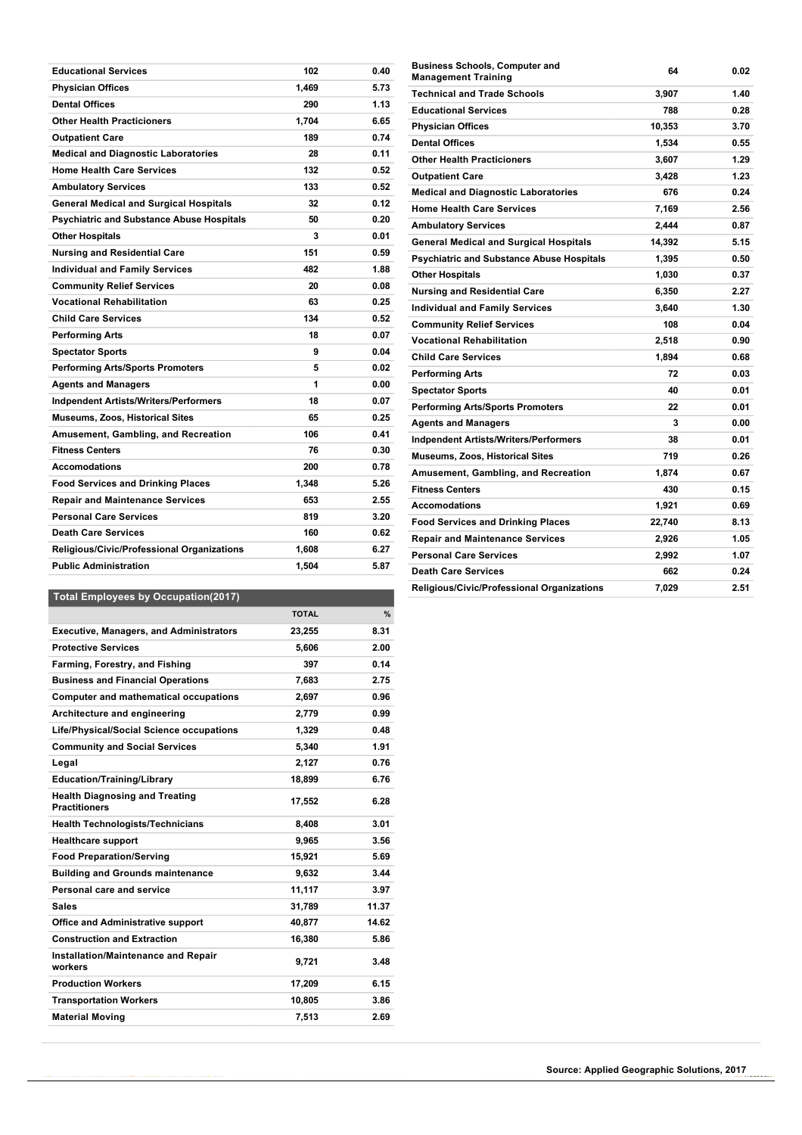| <b>Educational Services</b>                      | 102   | 0.40 |
|--------------------------------------------------|-------|------|
| <b>Physician Offices</b>                         | 1,469 | 5.73 |
| <b>Dental Offices</b>                            | 290   | 1.13 |
| <b>Other Health Practicioners</b>                | 1,704 | 6.65 |
| <b>Outpatient Care</b>                           | 189   | 0.74 |
| <b>Medical and Diagnostic Laboratories</b>       | 28    | 0.11 |
| <b>Home Health Care Services</b>                 | 132   | 0.52 |
| <b>Ambulatory Services</b>                       | 133   | 0.52 |
| <b>General Medical and Surgical Hospitals</b>    | 32    | 0.12 |
| <b>Psychiatric and Substance Abuse Hospitals</b> | 50    | 0.20 |
| <b>Other Hospitals</b>                           | 3     | 0.01 |
| Nursing and Residential Care                     | 151   | 0.59 |
| <b>Individual and Family Services</b>            | 482   | 1.88 |
| <b>Community Relief Services</b>                 | 20    | 0.08 |
| <b>Vocational Rehabilitation</b>                 | 63    | 0.25 |
| <b>Child Care Services</b>                       | 134   | 0.52 |
| Performing Arts                                  | 18    | 0.07 |
| <b>Spectator Sports</b>                          | 9     | 0.04 |
| Performing Arts/Sports Promoters                 | 5     | 0.02 |
| <b>Agents and Managers</b>                       | 1     | 0.00 |
| <b>Indpendent Artists/Writers/Performers</b>     | 18    | 0.07 |
| <b>Museums, Zoos, Historical Sites</b>           | 65    | 0.25 |
| Amusement, Gambling, and Recreation              | 106   | 0.41 |
| <b>Fitness Centers</b>                           | 76    | 0.30 |
| <b>Accomodations</b>                             | 200   | 0.78 |
| <b>Food Services and Drinking Places</b>         | 1,348 | 5.26 |
| <b>Repair and Maintenance Services</b>           | 653   | 2.55 |
| <b>Personal Care Services</b>                    | 819   | 3.20 |
| <b>Death Care Services</b>                       | 160   | 0.62 |
| Religious/Civic/Professional Organizations       | 1.608 | 6.27 |
| <b>Public Administration</b>                     | 1,504 | 5.87 |
|                                                  |       |      |

| <b>Business Schools, Computer and</b><br><b>Management Training</b> | 64     | 0.02 |
|---------------------------------------------------------------------|--------|------|
| <b>Technical and Trade Schools</b>                                  | 3,907  | 1.40 |
| <b>Educational Services</b>                                         | 788    | 0.28 |
| <b>Physician Offices</b>                                            | 10,353 | 3.70 |
| <b>Dental Offices</b>                                               | 1,534  | 0.55 |
| <b>Other Health Practicioners</b>                                   | 3,607  | 1.29 |
| <b>Outpatient Care</b>                                              | 3,428  | 1.23 |
| <b>Medical and Diagnostic Laboratories</b>                          | 676    | 0.24 |
| <b>Home Health Care Services</b>                                    | 7,169  | 2.56 |
| <b>Ambulatory Services</b>                                          | 2,444  | 0.87 |
| <b>General Medical and Surgical Hospitals</b>                       | 14,392 | 5.15 |
| <b>Psychiatric and Substance Abuse Hospitals</b>                    | 1,395  | 0.50 |
| <b>Other Hospitals</b>                                              | 1,030  | 0.37 |
| <b>Nursing and Residential Care</b>                                 | 6,350  | 2.27 |
| <b>Individual and Family Services</b>                               | 3,640  | 1.30 |
| <b>Community Relief Services</b>                                    | 108    | 0.04 |
| <b>Vocational Rehabilitation</b>                                    | 2,518  | 0.90 |
| <b>Child Care Services</b>                                          | 1,894  | 0.68 |
| <b>Performing Arts</b>                                              | 72     | 0.03 |
| <b>Spectator Sports</b>                                             | 40     | 0.01 |
| <b>Performing Arts/Sports Promoters</b>                             | 22     | 0.01 |
| <b>Agents and Managers</b>                                          | 3      | 0.00 |
| <b>Indpendent Artists/Writers/Performers</b>                        | 38     | 0.01 |
| <b>Museums, Zoos, Historical Sites</b>                              | 719    | 0.26 |
| Amusement, Gambling, and Recreation                                 | 1,874  | 0.67 |
| <b>Fitness Centers</b>                                              | 430    | 0.15 |
| <b>Accomodations</b>                                                | 1,921  | 0.69 |
| <b>Food Services and Drinking Places</b>                            | 22,740 | 8.13 |
| <b>Repair and Maintenance Services</b>                              | 2,926  | 1.05 |
| <b>Personal Care Services</b>                                       | 2,992  | 1.07 |
| <b>Death Care Services</b>                                          | 662    | 0.24 |
| <b>Religious/Civic/Professional Organizations</b>                   | 7,029  | 2.51 |

## **Total Employees by Occupation(2017)**

|                                                               | <b>TOTAL</b> | $\frac{9}{6}$ |
|---------------------------------------------------------------|--------------|---------------|
| <b>Executive, Managers, and Administrators</b>                | 23,255       | 8.31          |
| <b>Protective Services</b>                                    | 5,606        | 2.00          |
| Farming, Forestry, and Fishing                                | 397          | 0.14          |
| <b>Business and Financial Operations</b>                      | 7,683        | 2.75          |
| <b>Computer and mathematical occupations</b>                  | 2,697        | 0.96          |
| Architecture and engineering                                  | 2.779        | 0.99          |
| Life/Physical/Social Science occupations                      | 1,329        | 0.48          |
| <b>Community and Social Services</b>                          | 5,340        | 1.91          |
| Legal                                                         | 2,127        | 0.76          |
| <b>Education/Training/Library</b>                             | 18,899       | 6.76          |
| <b>Health Diagnosing and Treating</b><br><b>Practitioners</b> | 17,552       | 6.28          |
| <b>Health Technologists/Technicians</b>                       | 8.408        | 3.01          |
| <b>Healthcare support</b>                                     | 9,965        | 3.56          |
| <b>Food Preparation/Serving</b>                               | 15,921       | 5.69          |
| <b>Building and Grounds maintenance</b>                       | 9.632        | 3.44          |
| Personal care and service                                     | 11,117       | 3.97          |
| <b>Sales</b>                                                  | 31,789       | 11.37         |
| <b>Office and Administrative support</b>                      | 40.877       | 14.62         |
| <b>Construction and Extraction</b>                            | 16,380       | 5.86          |
| Installation/Maintenance and Repair<br>workers                | 9,721        | 3.48          |
| <b>Production Workers</b>                                     | 17,209       | 6.15          |
| <b>Transportation Workers</b>                                 | 10,805       | 3.86          |
| <b>Material Moving</b>                                        | 7,513        | 2.69          |

---